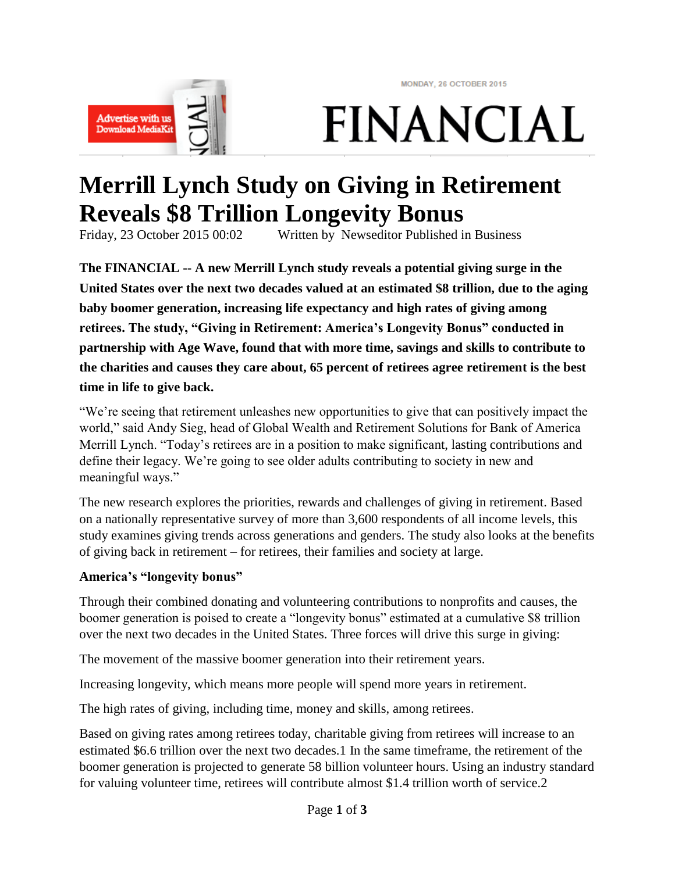MONDAY, 26 OCTOBER 2015



**FINANCIAL** 

# **Merrill Lynch Study on Giving in Retirement Reveals \$8 Trillion Longevity Bonus**

Friday, 23 October 2015 00:02 Written by Newseditor Published in Business

**The FINANCIAL -- A new Merrill Lynch study reveals a potential giving surge in the United States over the next two decades valued at an estimated \$8 trillion, due to the aging baby boomer generation, increasing life expectancy and high rates of giving among retirees. The study, "Giving in Retirement: America's Longevity Bonus" conducted in partnership with Age Wave, found that with more time, savings and skills to contribute to the charities and causes they care about, 65 percent of retirees agree retirement is the best time in life to give back.**

"We're seeing that retirement unleashes new opportunities to give that can positively impact the world," said Andy Sieg, head of Global Wealth and Retirement Solutions for Bank of America Merrill Lynch. "Today's retirees are in a position to make significant, lasting contributions and define their legacy. We're going to see older adults contributing to society in new and meaningful ways."

The new research explores the priorities, rewards and challenges of giving in retirement. Based on a nationally representative survey of more than 3,600 respondents of all income levels, this study examines giving trends across generations and genders. The study also looks at the benefits of giving back in retirement – for retirees, their families and society at large.

#### **America's "longevity bonus"**

Through their combined donating and volunteering contributions to nonprofits and causes, the boomer generation is poised to create a "longevity bonus" estimated at a cumulative \$8 trillion over the next two decades in the United States. Three forces will drive this surge in giving:

The movement of the massive boomer generation into their retirement years.

Increasing longevity, which means more people will spend more years in retirement.

The high rates of giving, including time, money and skills, among retirees.

Based on giving rates among retirees today, charitable giving from retirees will increase to an estimated \$6.6 trillion over the next two decades.1 In the same timeframe, the retirement of the boomer generation is projected to generate 58 billion volunteer hours. Using an industry standard for valuing volunteer time, retirees will contribute almost \$1.4 trillion worth of service.2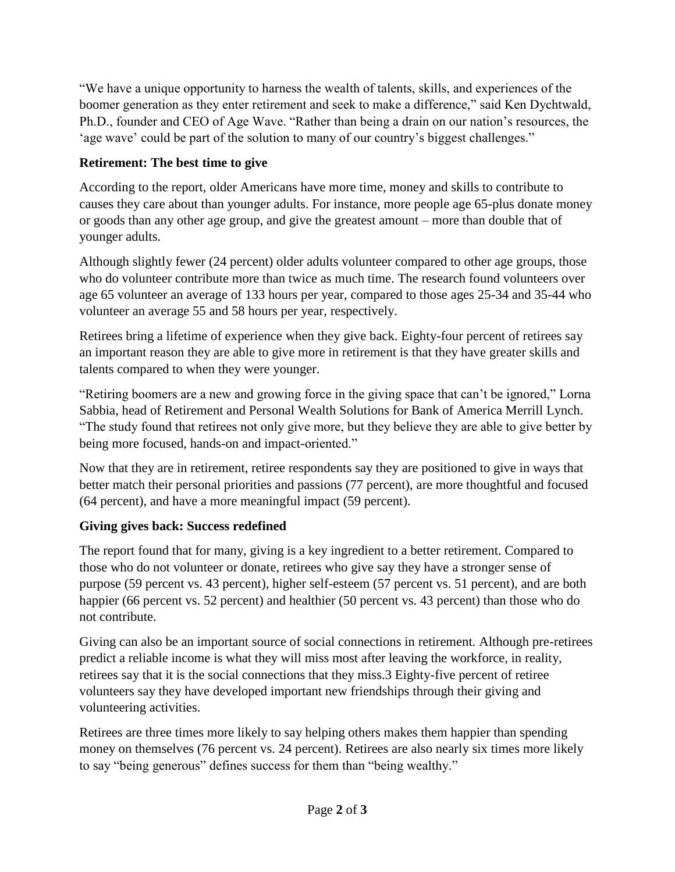"We have a unique opportunity to harness the wealth of talents, skills, and experiences of the boomer generation as they enter retirement and seek to make a difference," said Ken Dychtwald, Ph.D., founder and CEO of Age Wave. "Rather than being a drain on our nation's resources, the 'age wave' could be part of the solution to many of our country's biggest challenges."

### **Retirement: The best time to give**

According to the report, older Americans have more time, money and skills to contribute to causes they care about than younger adults. For instance, more people age 65-plus donate money or goods than any other age group, and give the greatest amount – more than double that of younger adults.

Although slightly fewer (24 percent) older adults volunteer compared to other age groups, those who do volunteer contribute more than twice as much time. The research found volunteers over age 65 volunteer an average of 133 hours per year, compared to those ages 25-34 and 35-44 who volunteer an average 55 and 58 hours per year, respectively.

Retirees bring a lifetime of experience when they give back. Eighty-four percent of retirees say an important reason they are able to give more in retirement is that they have greater skills and talents compared to when they were younger.

"Retiring boomers are a new and growing force in the giving space that can't be ignored," Lorna Sabbia, head of Retirement and Personal Wealth Solutions for Bank of America Merrill Lynch. "The study found that retirees not only give more, but they believe they are able to give better by being more focused, hands-on and impact-oriented."

Now that they are in retirement, retiree respondents say they are positioned to give in ways that better match their personal priorities and passions (77 percent), are more thoughtful and focused (64 percent), and have a more meaningful impact (59 percent).

### **Giving gives back: Success redefined**

The report found that for many, giving is a key ingredient to a better retirement. Compared to those who do not volunteer or donate, retirees who give say they have a stronger sense of purpose (59 percent vs. 43 percent), higher self-esteem (57 percent vs. 51 percent), and are both happier (66 percent vs. 52 percent) and healthier (50 percent vs. 43 percent) than those who do not contribute.

Giving can also be an important source of social connections in retirement. Although pre-retirees predict a reliable income is what they will miss most after leaving the workforce, in reality, retirees say that it is the social connections that they miss.3 Eighty-five percent of retiree volunteers say they have developed important new friendships through their giving and volunteering activities.

Retirees are three times more likely to say helping others makes them happier than spending money on themselves (76 percent vs. 24 percent). Retirees are also nearly six times more likely to say "being generous" defines success for them than "being wealthy."